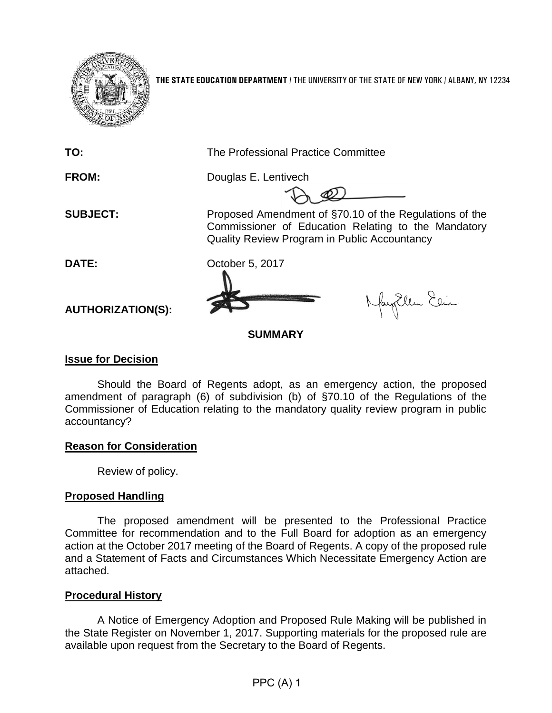

**THE STATE EDUCATION DEPARTMENT** / THE UNIVERSITY OF THE STATE OF NEW YORK / ALBANY, NY 12234

**TO:** The Professional Practice Committee

**FROM:** Douglas E. Lentivech

**SUBJECT:** Proposed Amendment of §70.10 of the Regulations of the Commissioner of Education Relating to the Mandatory Quality Review Program in Public Accountancy

**DATE:** October 5, 2017

Nagllem Elia

**SUMMARY**

# **Issue for Decision**

**AUTHORIZATION(S):**

Should the Board of Regents adopt, as an emergency action, the proposed amendment of paragraph (6) of subdivision (b) of §70.10 of the Regulations of the Commissioner of Education relating to the mandatory quality review program in public accountancy?

## **Reason for Consideration**

Review of policy.

# **Proposed Handling**

The proposed amendment will be presented to the Professional Practice Committee for recommendation and to the Full Board for adoption as an emergency action at the October 2017 meeting of the Board of Regents. A copy of the proposed rule and a Statement of Facts and Circumstances Which Necessitate Emergency Action are attached.

## **Procedural History**

A Notice of Emergency Adoption and Proposed Rule Making will be published in the State Register on November 1, 2017. Supporting materials for the proposed rule are available upon request from the Secretary to the Board of Regents.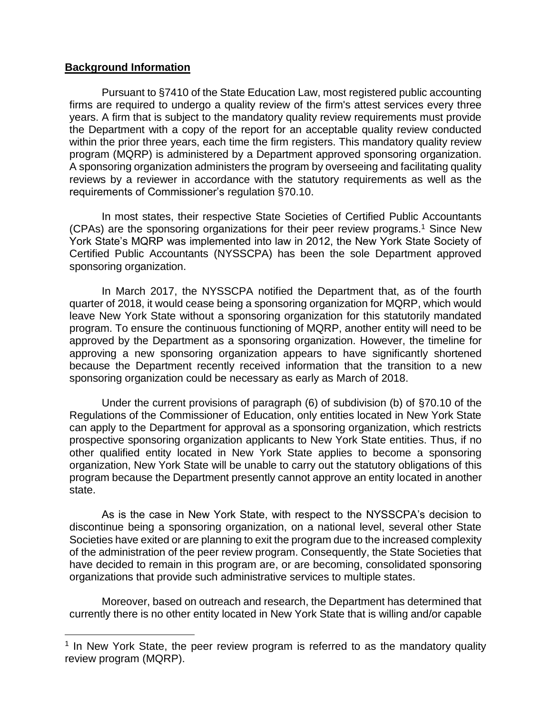### **Background Information**

Pursuant to §7410 of the State Education Law, most registered public accounting firms are required to undergo a quality review of the firm's attest services every three years. A firm that is subject to the mandatory quality review requirements must provide the Department with a copy of the report for an acceptable quality review conducted within the prior three years, each time the firm registers. This mandatory quality review program (MQRP) is administered by a Department approved sponsoring organization. A sponsoring organization administers the program by overseeing and facilitating quality reviews by a reviewer in accordance with the statutory requirements as well as the requirements of Commissioner's regulation §70.10.

In most states, their respective State Societies of Certified Public Accountants (CPAs) are the sponsoring organizations for their peer review programs.<sup>1</sup> Since New York State's MQRP was implemented into law in 2012, the New York State Society of Certified Public Accountants (NYSSCPA) has been the sole Department approved sponsoring organization.

In March 2017, the NYSSCPA notified the Department that, as of the fourth quarter of 2018, it would cease being a sponsoring organization for MQRP, which would leave New York State without a sponsoring organization for this statutorily mandated program. To ensure the continuous functioning of MQRP, another entity will need to be approved by the Department as a sponsoring organization. However, the timeline for approving a new sponsoring organization appears to have significantly shortened because the Department recently received information that the transition to a new sponsoring organization could be necessary as early as March of 2018.

Under the current provisions of paragraph (6) of subdivision (b) of §70.10 of the Regulations of the Commissioner of Education, only entities located in New York State can apply to the Department for approval as a sponsoring organization, which restricts prospective sponsoring organization applicants to New York State entities. Thus, if no other qualified entity located in New York State applies to become a sponsoring organization, New York State will be unable to carry out the statutory obligations of this program because the Department presently cannot approve an entity located in another state.

As is the case in New York State, with respect to the NYSSCPA's decision to discontinue being a sponsoring organization, on a national level, several other State Societies have exited or are planning to exit the program due to the increased complexity of the administration of the peer review program. Consequently, the State Societies that have decided to remain in this program are, or are becoming, consolidated sponsoring organizations that provide such administrative services to multiple states.

Moreover, based on outreach and research, the Department has determined that currently there is no other entity located in New York State that is willing and/or capable

<sup>&</sup>lt;sup>1</sup> In New York State, the peer review program is referred to as the mandatory quality review program (MQRP).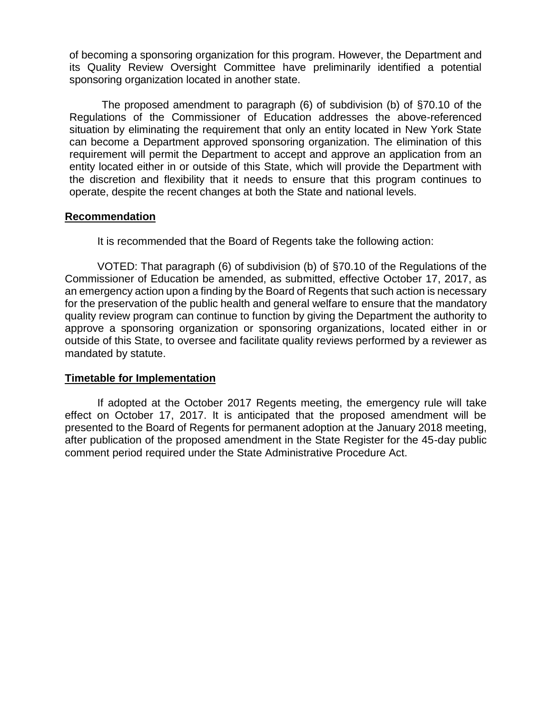of becoming a sponsoring organization for this program. However, the Department and its Quality Review Oversight Committee have preliminarily identified a potential sponsoring organization located in another state.

The proposed amendment to paragraph (6) of subdivision (b) of §70.10 of the Regulations of the Commissioner of Education addresses the above-referenced situation by eliminating the requirement that only an entity located in New York State can become a Department approved sponsoring organization. The elimination of this requirement will permit the Department to accept and approve an application from an entity located either in or outside of this State, which will provide the Department with the discretion and flexibility that it needs to ensure that this program continues to operate, despite the recent changes at both the State and national levels.

### **Recommendation**

It is recommended that the Board of Regents take the following action:

VOTED: That paragraph (6) of subdivision (b) of §70.10 of the Regulations of the Commissioner of Education be amended, as submitted, effective October 17, 2017, as an emergency action upon a finding by the Board of Regents that such action is necessary for the preservation of the public health and general welfare to ensure that the mandatory quality review program can continue to function by giving the Department the authority to approve a sponsoring organization or sponsoring organizations, located either in or outside of this State, to oversee and facilitate quality reviews performed by a reviewer as mandated by statute.

## **Timetable for Implementation**

If adopted at the October 2017 Regents meeting, the emergency rule will take effect on October 17, 2017. It is anticipated that the proposed amendment will be presented to the Board of Regents for permanent adoption at the January 2018 meeting, after publication of the proposed amendment in the State Register for the 45-day public comment period required under the State Administrative Procedure Act.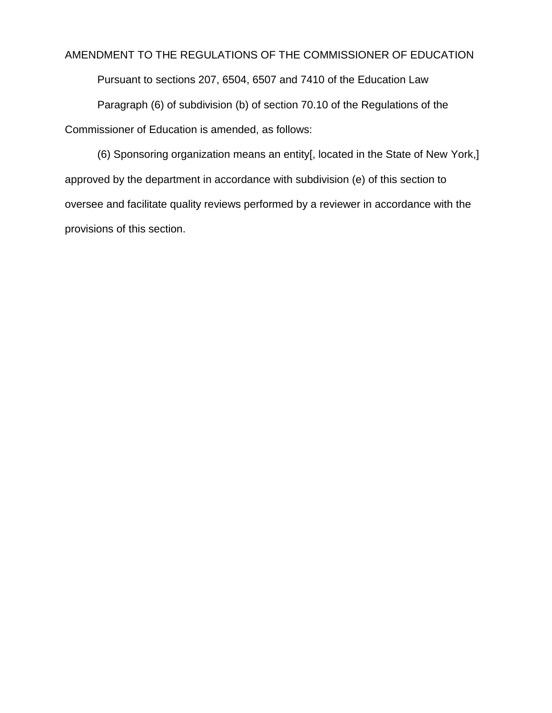## AMENDMENT TO THE REGULATIONS OF THE COMMISSIONER OF EDUCATION

Pursuant to sections 207, 6504, 6507 and 7410 of the Education Law

Paragraph (6) of subdivision (b) of section 70.10 of the Regulations of the Commissioner of Education is amended, as follows:

(6) Sponsoring organization means an entity[, located in the State of New York,] approved by the department in accordance with subdivision (e) of this section to oversee and facilitate quality reviews performed by a reviewer in accordance with the provisions of this section.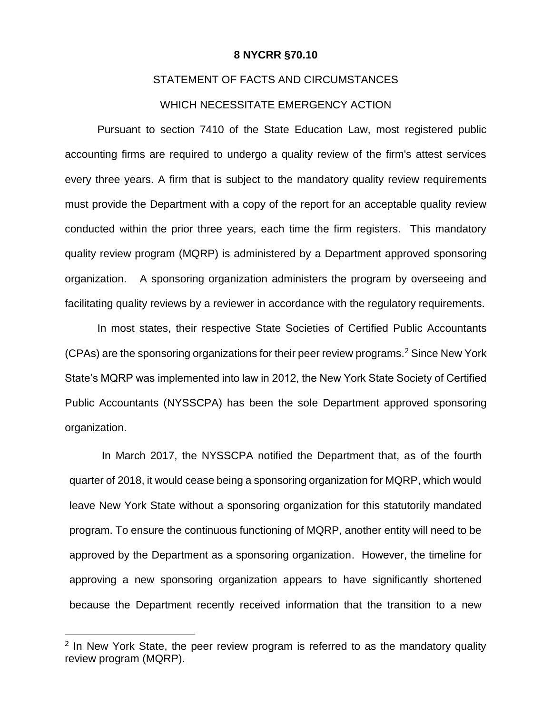#### **8 NYCRR §70.10**

#### STATEMENT OF FACTS AND CIRCUMSTANCES

#### WHICH NECESSITATE EMERGENCY ACTION

Pursuant to section 7410 of the State Education Law, most registered public accounting firms are required to undergo a quality review of the firm's attest services every three years. A firm that is subject to the mandatory quality review requirements must provide the Department with a copy of the report for an acceptable quality review conducted within the prior three years, each time the firm registers. This mandatory quality review program (MQRP) is administered by a Department approved sponsoring organization. A sponsoring organization administers the program by overseeing and facilitating quality reviews by a reviewer in accordance with the regulatory requirements.

In most states, their respective State Societies of Certified Public Accountants (CPAs) are the sponsoring organizations for their peer review programs.<sup>2</sup> Since New York State's MQRP was implemented into law in 2012, the New York State Society of Certified Public Accountants (NYSSCPA) has been the sole Department approved sponsoring organization.

In March 2017, the NYSSCPA notified the Department that, as of the fourth quarter of 2018, it would cease being a sponsoring organization for MQRP, which would leave New York State without a sponsoring organization for this statutorily mandated program. To ensure the continuous functioning of MQRP, another entity will need to be approved by the Department as a sponsoring organization. However, the timeline for approving a new sponsoring organization appears to have significantly shortened because the Department recently received information that the transition to a new

 $\overline{a}$ 

<sup>&</sup>lt;sup>2</sup> In New York State, the peer review program is referred to as the mandatory quality review program (MQRP).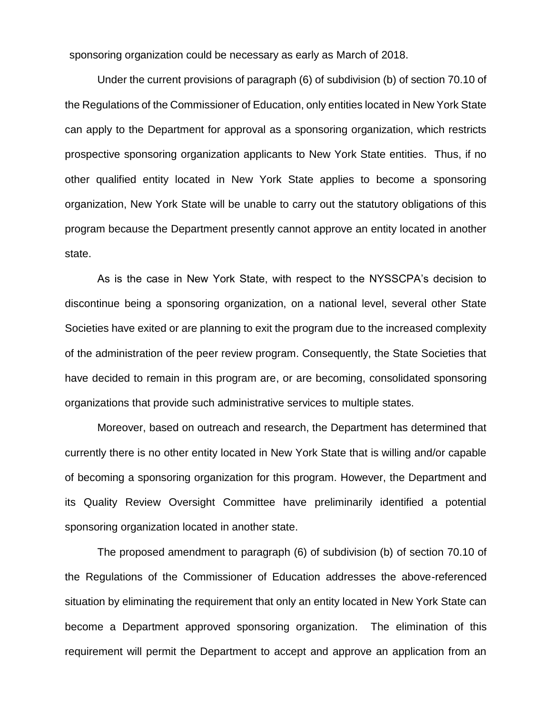sponsoring organization could be necessary as early as March of 2018.

 Under the current provisions of paragraph (6) of subdivision (b) of section 70.10 of the Regulations of the Commissioner of Education, only entities located in New York State can apply to the Department for approval as a sponsoring organization, which restricts prospective sponsoring organization applicants to New York State entities. Thus, if no other qualified entity located in New York State applies to become a sponsoring organization, New York State will be unable to carry out the statutory obligations of this program because the Department presently cannot approve an entity located in another state.

As is the case in New York State, with respect to the NYSSCPA's decision to discontinue being a sponsoring organization, on a national level, several other State Societies have exited or are planning to exit the program due to the increased complexity of the administration of the peer review program. Consequently, the State Societies that have decided to remain in this program are, or are becoming, consolidated sponsoring organizations that provide such administrative services to multiple states.

Moreover, based on outreach and research, the Department has determined that currently there is no other entity located in New York State that is willing and/or capable of becoming a sponsoring organization for this program. However, the Department and its Quality Review Oversight Committee have preliminarily identified a potential sponsoring organization located in another state.

The proposed amendment to paragraph (6) of subdivision (b) of section 70.10 of the Regulations of the Commissioner of Education addresses the above-referenced situation by eliminating the requirement that only an entity located in New York State can become a Department approved sponsoring organization. The elimination of this requirement will permit the Department to accept and approve an application from an